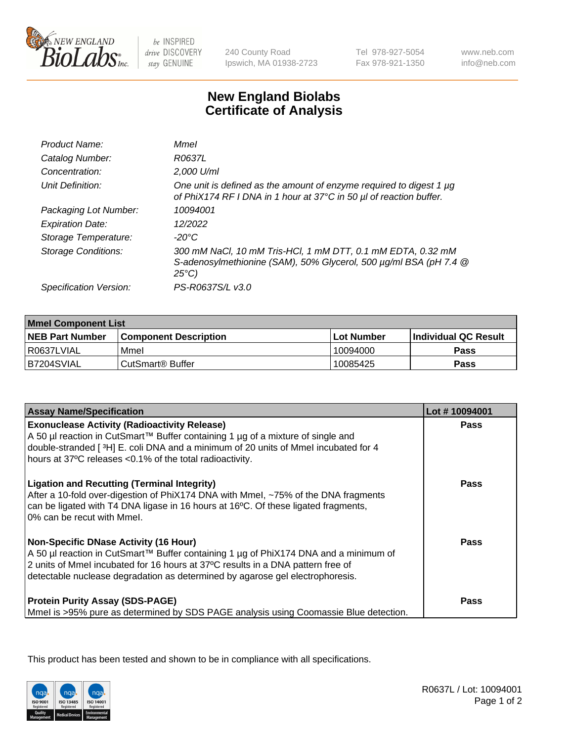

be INSPIRED drive DISCOVERY stay GENUINE

240 County Road Ipswich, MA 01938-2723 Tel 978-927-5054 Fax 978-921-1350

www.neb.com info@neb.com

## **New England Biolabs Certificate of Analysis**

| Product Name:              | Mmel                                                                                                                                                |
|----------------------------|-----------------------------------------------------------------------------------------------------------------------------------------------------|
| Catalog Number:            | R0637L                                                                                                                                              |
| Concentration:             | 2,000 U/ml                                                                                                                                          |
| Unit Definition:           | One unit is defined as the amount of enzyme required to digest 1 µg<br>of PhiX174 RF I DNA in 1 hour at 37°C in 50 µl of reaction buffer.           |
| Packaging Lot Number:      | 10094001                                                                                                                                            |
| <b>Expiration Date:</b>    | 12/2022                                                                                                                                             |
| Storage Temperature:       | -20°C                                                                                                                                               |
| <b>Storage Conditions:</b> | 300 mM NaCl, 10 mM Tris-HCl, 1 mM DTT, 0.1 mM EDTA, 0.32 mM<br>S-adenosylmethionine (SAM), 50% Glycerol, 500 µg/ml BSA (pH 7.4 @<br>$25^{\circ}C$ ) |
| Specification Version:     | PS-R0637S/L v3.0                                                                                                                                    |
|                            |                                                                                                                                                     |

| <b>Mmel Component List</b> |                         |                   |                             |  |
|----------------------------|-------------------------|-------------------|-----------------------------|--|
| <b>NEB Part Number</b>     | l Component Description | <b>Lot Number</b> | <b>Individual QC Result</b> |  |
| I R0637LVIAL               | Mmel                    | 10094000          | Pass                        |  |
| IB7204SVIAL                | l CutSmart® Buffer_     | 10085425          | Pass                        |  |

| <b>Assay Name/Specification</b>                                                                                                                                                                                                                                                                   | Lot #10094001 |
|---------------------------------------------------------------------------------------------------------------------------------------------------------------------------------------------------------------------------------------------------------------------------------------------------|---------------|
| <b>Exonuclease Activity (Radioactivity Release)</b><br>A 50 µl reaction in CutSmart™ Buffer containing 1 µg of a mixture of single and<br>double-stranded [3H] E. coli DNA and a minimum of 20 units of Mmel incubated for 4<br>hours at 37°C releases <0.1% of the total radioactivity.          | <b>Pass</b>   |
| <b>Ligation and Recutting (Terminal Integrity)</b><br>After a 10-fold over-digestion of PhiX174 DNA with Mmel, ~75% of the DNA fragments<br>can be ligated with T4 DNA ligase in 16 hours at 16 $\degree$ C. Of these ligated fragments,<br>10% can be recut with Mmel.                           | <b>Pass</b>   |
| Non-Specific DNase Activity (16 Hour)<br>A 50 µl reaction in CutSmart™ Buffer containing 1 µg of PhiX174 DNA and a minimum of<br>2 units of Mmel incubated for 16 hours at 37°C results in a DNA pattern free of<br>detectable nuclease degradation as determined by agarose gel electrophoresis. | <b>Pass</b>   |
| <b>Protein Purity Assay (SDS-PAGE)</b><br>Mmel is >95% pure as determined by SDS PAGE analysis using Coomassie Blue detection.                                                                                                                                                                    | Pass          |

This product has been tested and shown to be in compliance with all specifications.